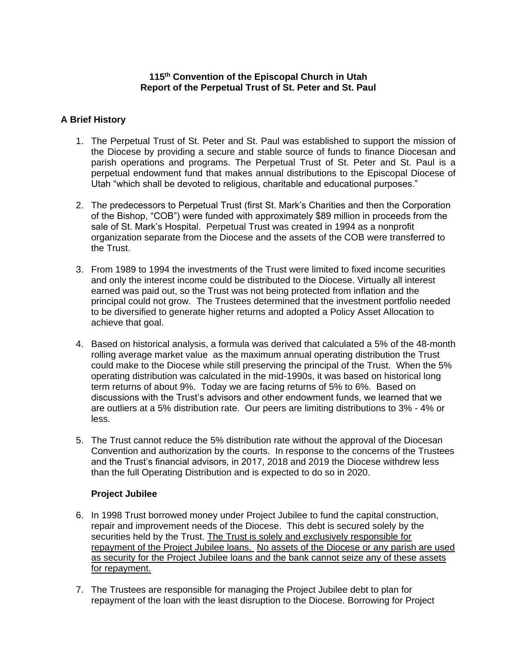### **115th Convention of the Episcopal Church in Utah Report of the Perpetual Trust of St. Peter and St. Paul**

# **A Brief History**

- 1. The Perpetual Trust of St. Peter and St. Paul was established to support the mission of the Diocese by providing a secure and stable source of funds to finance Diocesan and parish operations and programs. The Perpetual Trust of St. Peter and St. Paul is a perpetual endowment fund that makes annual distributions to the Episcopal Diocese of Utah "which shall be devoted to religious, charitable and educational purposes."
- 2. The predecessors to Perpetual Trust (first St. Mark's Charities and then the Corporation of the Bishop, "COB") were funded with approximately \$89 million in proceeds from the sale of St. Mark's Hospital. Perpetual Trust was created in 1994 as a nonprofit organization separate from the Diocese and the assets of the COB were transferred to the Trust.
- 3. From 1989 to 1994 the investments of the Trust were limited to fixed income securities and only the interest income could be distributed to the Diocese. Virtually all interest earned was paid out, so the Trust was not being protected from inflation and the principal could not grow. The Trustees determined that the investment portfolio needed to be diversified to generate higher returns and adopted a Policy Asset Allocation to achieve that goal.
- 4. Based on historical analysis, a formula was derived that calculated a 5% of the 48-month rolling average market value as the maximum annual operating distribution the Trust could make to the Diocese while still preserving the principal of the Trust. When the 5% operating distribution was calculated in the mid-1990s, it was based on historical long term returns of about 9%. Today we are facing returns of 5% to 6%. Based on discussions with the Trust's advisors and other endowment funds, we learned that we are outliers at a 5% distribution rate. Our peers are limiting distributions to 3% - 4% or less.
- 5. The Trust cannot reduce the 5% distribution rate without the approval of the Diocesan Convention and authorization by the courts. In response to the concerns of the Trustees and the Trust's financial advisors, in 2017, 2018 and 2019 the Diocese withdrew less than the full Operating Distribution and is expected to do so in 2020.

## **Project Jubilee**

- 6. In 1998 Trust borrowed money under Project Jubilee to fund the capital construction, repair and improvement needs of the Diocese. This debt is secured solely by the securities held by the Trust. The Trust is solely and exclusively responsible for repayment of the Project Jubilee loans. No assets of the Diocese or any parish are used as security for the Project Jubilee loans and the bank cannot seize any of these assets for repayment.
- 7. The Trustees are responsible for managing the Project Jubilee debt to plan for repayment of the loan with the least disruption to the Diocese. Borrowing for Project